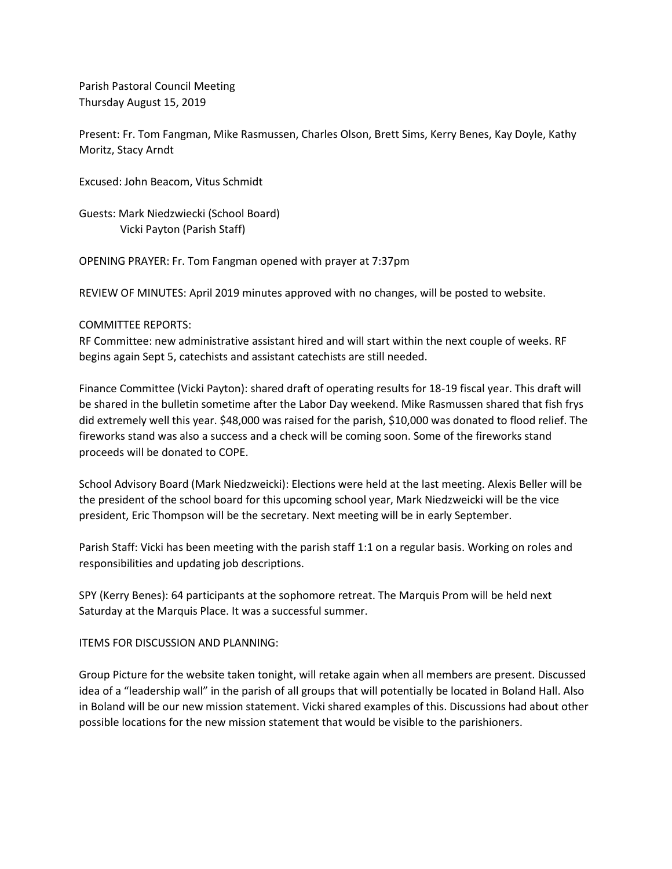Parish Pastoral Council Meeting Thursday August 15, 2019

Present: Fr. Tom Fangman, Mike Rasmussen, Charles Olson, Brett Sims, Kerry Benes, Kay Doyle, Kathy Moritz, Stacy Arndt

Excused: John Beacom, Vitus Schmidt

Guests: Mark Niedzwiecki (School Board) Vicki Payton (Parish Staff)

OPENING PRAYER: Fr. Tom Fangman opened with prayer at 7:37pm

REVIEW OF MINUTES: April 2019 minutes approved with no changes, will be posted to website.

## COMMITTEE REPORTS:

RF Committee: new administrative assistant hired and will start within the next couple of weeks. RF begins again Sept 5, catechists and assistant catechists are still needed.

Finance Committee (Vicki Payton): shared draft of operating results for 18-19 fiscal year. This draft will be shared in the bulletin sometime after the Labor Day weekend. Mike Rasmussen shared that fish frys did extremely well this year. \$48,000 was raised for the parish, \$10,000 was donated to flood relief. The fireworks stand was also a success and a check will be coming soon. Some of the fireworks stand proceeds will be donated to COPE.

School Advisory Board (Mark Niedzweicki): Elections were held at the last meeting. Alexis Beller will be the president of the school board for this upcoming school year, Mark Niedzweicki will be the vice president, Eric Thompson will be the secretary. Next meeting will be in early September.

Parish Staff: Vicki has been meeting with the parish staff 1:1 on a regular basis. Working on roles and responsibilities and updating job descriptions.

SPY (Kerry Benes): 64 participants at the sophomore retreat. The Marquis Prom will be held next Saturday at the Marquis Place. It was a successful summer.

## ITEMS FOR DISCUSSION AND PLANNING:

Group Picture for the website taken tonight, will retake again when all members are present. Discussed idea of a "leadership wall" in the parish of all groups that will potentially be located in Boland Hall. Also in Boland will be our new mission statement. Vicki shared examples of this. Discussions had about other possible locations for the new mission statement that would be visible to the parishioners.